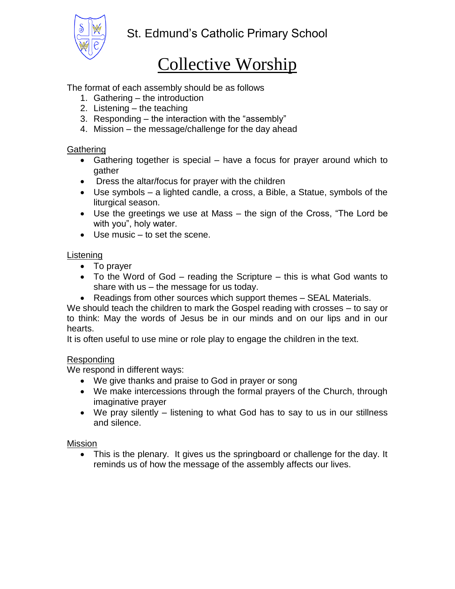

# Collective Worship

## The format of each assembly should be as follows

- 1. Gathering the introduction
- 2. Listening the teaching
- 3. Responding the interaction with the "assembly"
- 4. Mission the message/challenge for the day ahead

## **Gathering**

- Gathering together is special have a focus for prayer around which to gather
- Dress the altar/focus for prayer with the children
- Use symbols a lighted candle, a cross, a Bible, a Statue, symbols of the liturgical season.
- Use the greetings we use at Mass the sign of the Cross, "The Lord be with you", holy water.
- Use music to set the scene.

## **Listening**

- To prayer
- To the Word of God reading the Scripture this is what God wants to share with us – the message for us today.
- Readings from other sources which support themes SEAL Materials.

We should teach the children to mark the Gospel reading with crosses – to say or to think: May the words of Jesus be in our minds and on our lips and in our hearts.

It is often useful to use mine or role play to engage the children in the text.

#### Responding

We respond in different ways:

- We give thanks and praise to God in prayer or song
- We make intercessions through the formal prayers of the Church, through imaginative prayer
- We pray silently listening to what God has to say to us in our stillness and silence.

#### Mission

• This is the plenary. It gives us the springboard or challenge for the day. It reminds us of how the message of the assembly affects our lives.